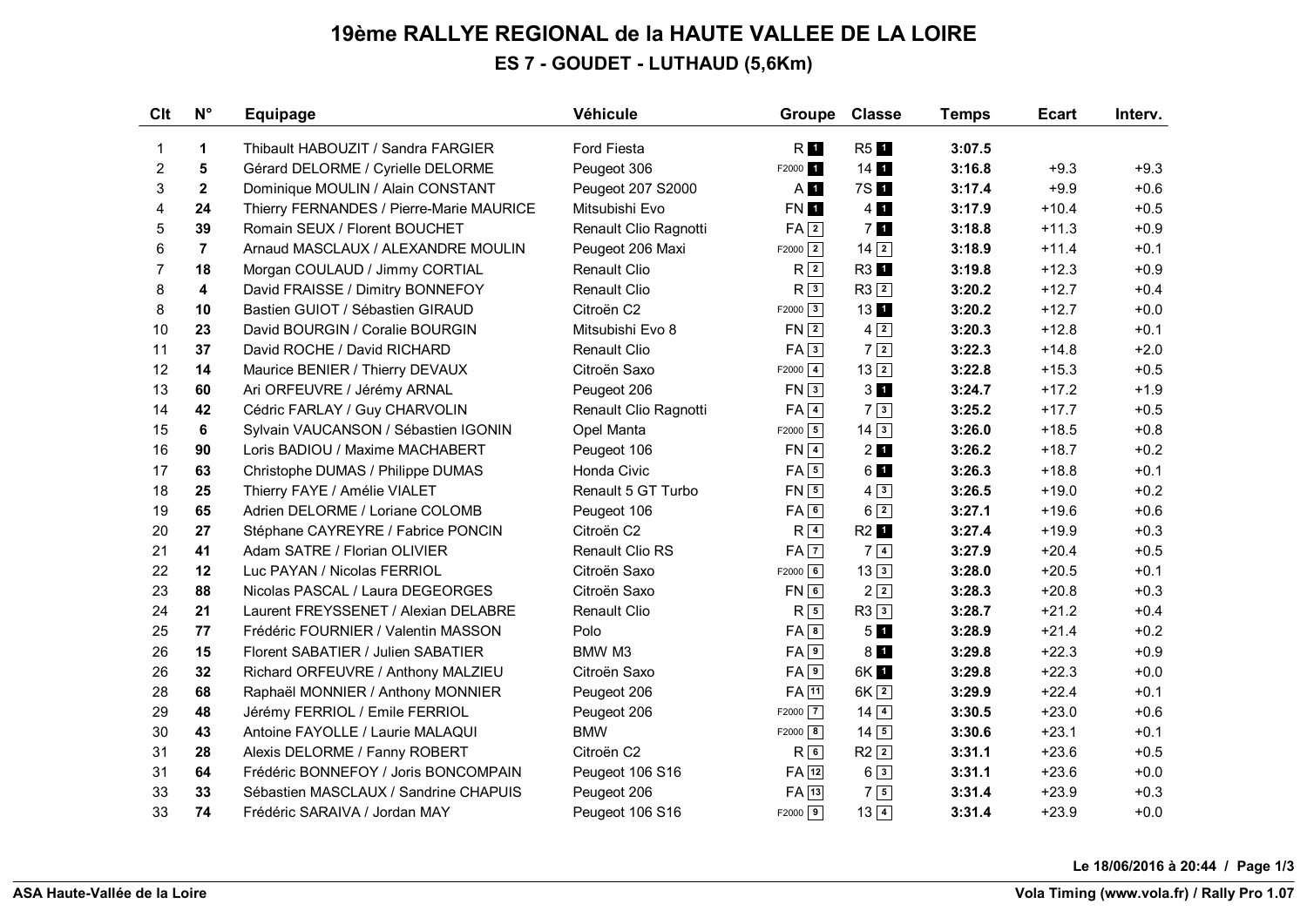## **19ème RALLYE REGIONAL de la HAUTE VALLEE DE LA LOIRE ES 7 - GOUDET - LUTHAUD (5,6Km)**

| Clt            | $N^{\circ}$    | <b>Equipage</b>                          | Véhicule              | Groupe               | <b>Classe</b>      | <b>Temps</b> | <b>Ecart</b> | Interv. |
|----------------|----------------|------------------------------------------|-----------------------|----------------------|--------------------|--------------|--------------|---------|
| 1              | 1              | Thibault HABOUZIT / Sandra FARGIER       | Ford Fiesta           | RI <sub>I</sub>      | <b>R51</b>         | 3:07.5       |              |         |
| $\overline{2}$ | 5              | Gérard DELORME / Cyrielle DELORME        | Peugeot 306           | F2000 <sub>1</sub>   | 14                 | 3:16.8       | $+9.3$       | $+9.3$  |
| 3              | $\mathbf{2}$   | Dominique MOULIN / Alain CONSTANT        | Peugeot 207 S2000     | A <b>1</b>           | 7S 1               | 3:17.4       | $+9.9$       | $+0.6$  |
| 4              | 24             | Thierry FERNANDES / Pierre-Marie MAURICE | Mitsubishi Evo        | FN 1                 | $4 \, \mathrm{ii}$ | 3:17.9       | $+10.4$      | $+0.5$  |
| 5              | 39             | Romain SEUX / Florent BOUCHET            | Renault Clio Ragnotti | $FA$ <sup>2</sup>    | 7 <sub>1</sub>     | 3:18.8       | $+11.3$      | $+0.9$  |
| 6              | $\overline{7}$ | Arnaud MASCLAUX / ALEXANDRE MOULIN       | Peugeot 206 Maxi      | $F2000$ <sup>2</sup> | $14\overline{2}$   | 3:18.9       | $+11.4$      | $+0.1$  |
| $\overline{7}$ | 18             | Morgan COULAUD / Jimmy CORTIAL           | <b>Renault Clio</b>   | R <sub>2</sub>       | R3 <sup>1</sup>    | 3:19.8       | $+12.3$      | $+0.9$  |
| 8              | 4              | David FRAISSE / Dimitry BONNEFOY         | <b>Renault Clio</b>   | R <sup>3</sup>       | $R3$ <sup>2</sup>  | 3:20.2       | $+12.7$      | $+0.4$  |
| 8              | 10             | Bastien GUIOT / Sébastien GIRAUD         | Citroën C2            | $F2000$ 3            | 1311               | 3:20.2       | $+12.7$      | $+0.0$  |
| 10             | 23             | David BOURGIN / Coralie BOURGIN          | Mitsubishi Evo 8      | $FN$ $2$             | $4\sqrt{2}$        | 3:20.3       | $+12.8$      | $+0.1$  |
| 11             | 37             | David ROCHE / David RICHARD              | Renault Clio          | FA3                  | $7\sqrt{2}$        | 3:22.3       | $+14.8$      | $+2.0$  |
| 12             | 14             | Maurice BENIER / Thierry DEVAUX          | Citroën Saxo          | $F2000$ $4$          | $13\sqrt{2}$       | 3:22.8       | $+15.3$      | $+0.5$  |
| 13             | 60             | Ari ORFEUVRE / Jérémy ARNAL              | Peugeot 206           | FN3                  | 3 <sub>1</sub>     | 3:24.7       | $+17.2$      | $+1.9$  |
| 14             | 42             | Cédric FARLAY / Guy CHARVOLIN            | Renault Clio Ragnotti | $FA$ <sup>4</sup>    | $7\sqrt{3}$        | 3:25.2       | $+17.7$      | $+0.5$  |
| 15             | 6              | Sylvain VAUCANSON / Sébastien IGONIN     | Opel Manta            | $F2000$ 5            | $14\overline{3}$   | 3:26.0       | $+18.5$      | $+0.8$  |
| 16             | 90             | Loris BADIOU / Maxime MACHABERT          | Peugeot 106           | $FN$ <sup>4</sup>    | $2$ $\blacksquare$ | 3:26.2       | $+18.7$      | $+0.2$  |
| 17             | 63             | Christophe DUMAS / Philippe DUMAS        | Honda Civic           | $FA$ 5               | 61                 | 3:26.3       | $+18.8$      | $+0.1$  |
| 18             | 25             | Thierry FAYE / Amélie VIALET             | Renault 5 GT Turbo    | $FN \boxed{5}$       | $4\sqrt{3}$        | 3:26.5       | $+19.0$      | $+0.2$  |
| 19             | 65             | Adrien DELORME / Loriane COLOMB          | Peugeot 106           | FA6                  | $6\sqrt{2}$        | 3:27.1       | $+19.6$      | $+0.6$  |
| 20             | 27             | Stéphane CAYREYRE / Fabrice PONCIN       | Citroën C2            | R <sup>4</sup>       | R2 <b>1</b>        | 3:27.4       | $+19.9$      | $+0.3$  |
| 21             | 41             | Adam SATRE / Florian OLIVIER             | Renault Clio RS       | $FA$ $7$             | $7\sqrt{4}$        | 3:27.9       | $+20.4$      | $+0.5$  |
| 22             | 12             | Luc PAYAN / Nicolas FERRIOL              | Citroën Saxo          | $F2000$ 6            | $13\overline{3}$   | 3:28.0       | $+20.5$      | $+0.1$  |
| 23             | 88             | Nicolas PASCAL / Laura DEGEORGES         | Citroën Saxo          | $FN$ 6               | $2\sqrt{2}$        | 3:28.3       | $+20.8$      | $+0.3$  |
| 24             | 21             | Laurent FREYSSENET / Alexian DELABRE     | Renault Clio          | $R\sqrt{5}$          | R3 3               | 3:28.7       | $+21.2$      | $+0.4$  |
| 25             | 77             | Frédéric FOURNIER / Valentin MASSON      | Polo                  | FA 8                 | 5 <sub>1</sub>     | 3:28.9       | $+21.4$      | $+0.2$  |
| 26             | 15             | Florent SABATIER / Julien SABATIER       | BMW M3                | FA <sub>9</sub>      | $8$ $\blacksquare$ | 3:29.8       | $+22.3$      | $+0.9$  |
| 26             | 32             | Richard ORFEUVRE / Anthony MALZIEU       | Citroën Saxo          | FA9                  | 6K 1               | 3:29.8       | $+22.3$      | $+0.0$  |
| 28             | 68             | Raphaël MONNIER / Anthony MONNIER        | Peugeot 206           | $FA$ <sup>11</sup>   | 6K <sub>2</sub>    | 3:29.9       | $+22.4$      | $+0.1$  |
| 29             | 48             | Jérémy FERRIOL / Emile FERRIOL           | Peugeot 206           | $F2000$ $7$          | $14\overline{)4}$  | 3:30.5       | $+23.0$      | $+0.6$  |
| 30             | 43             | Antoine FAYOLLE / Laurie MALAQUI         | <b>BMW</b>            | $F2000$ 8            | $14\sqrt{5}$       | 3:30.6       | $+23.1$      | $+0.1$  |
| 31             | 28             | Alexis DELORME / Fanny ROBERT            | Citroën C2            | R6                   | $R2$ <sup>2</sup>  | 3:31.1       | $+23.6$      | $+0.5$  |
| 31             | 64             | Frédéric BONNEFOY / Joris BONCOMPAIN     | Peugeot 106 S16       | $FA$ <sup>12</sup>   | $6\sqrt{3}$        | 3:31.1       | $+23.6$      | $+0.0$  |
| 33             | 33             | Sébastien MASCLAUX / Sandrine CHAPUIS    | Peugeot 206           | $FA$ <sup>13</sup>   | $7\sqrt{5}$        | 3:31.4       | $+23.9$      | $+0.3$  |
| 33             | 74             | Frédéric SARAIVA / Jordan MAY            | Peugeot 106 S16       | $F2000$ 9            | $13\overline{)4}$  | 3:31.4       | $+23.9$      | $+0.0$  |

**Le 18/06/2016 à 20:44 / Page 1/3**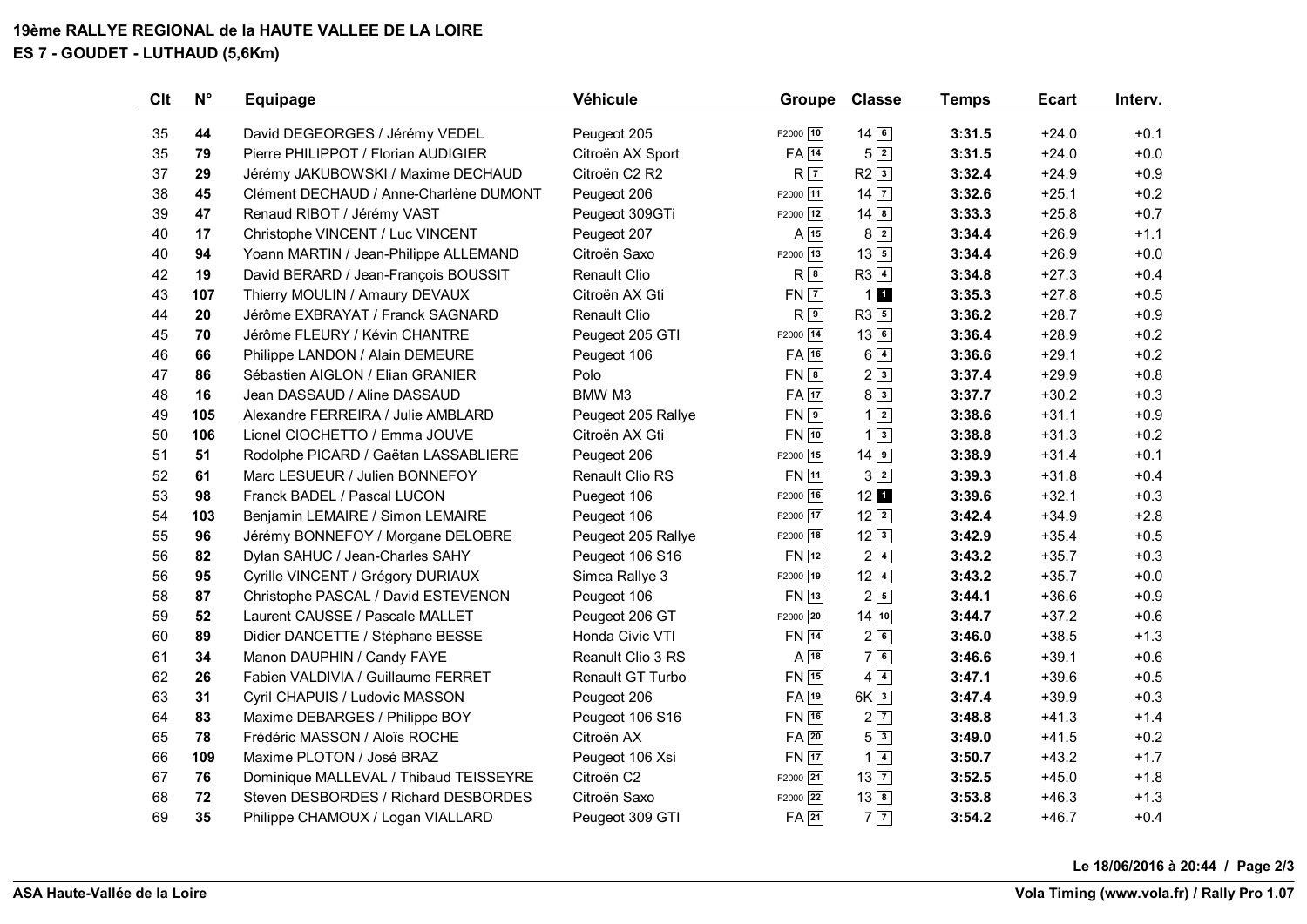## **19ème RALLYE REGIONAL de la HAUTE VALLEE DE LA LOIRE ES 7 - GOUDET - LUTHAUD (5,6Km)**

| Clt | $N^{\circ}$ | <b>Equipage</b>                        | Véhicule            | <b>Groupe</b>      | <b>Classe</b>          | <b>Temps</b> | <b>Ecart</b> | Interv. |
|-----|-------------|----------------------------------------|---------------------|--------------------|------------------------|--------------|--------------|---------|
| 35  | 44          | David DEGEORGES / Jérémy VEDEL         | Peugeot 205         | F2000 10           | $14\overline{6}$       | 3:31.5       | $+24.0$      | $+0.1$  |
| 35  | 79          | Pierre PHILIPPOT / Florian AUDIGIER    | Citroën AX Sport    | $FA$ $14$          | $5\sqrt{2}$            | 3:31.5       | $+24.0$      | $+0.0$  |
| 37  | 29          | Jérémy JAKUBOWSKI / Maxime DECHAUD     | Citroën C2 R2       | $R\sqrt{7}$        | $R2$ <sup>3</sup>      | 3:32.4       | $+24.9$      | $+0.9$  |
| 38  | 45          | Clément DECHAUD / Anne-Charlène DUMONT | Peugeot 206         | F2000 11           | $14\overline{7}$       | 3:32.6       | $+25.1$      | $+0.2$  |
| 39  | 47          | Renaud RIBOT / Jérémy VAST             | Peugeot 309GTi      | F2000 12           | $14\sqrt{8}$           | 3:33.3       | $+25.8$      | $+0.7$  |
| 40  | 17          | Christophe VINCENT / Luc VINCENT       | Peugeot 207         | $A$ 15             | 8 2                    | 3:34.4       | $+26.9$      | $+1.1$  |
| 40  | 94          | Yoann MARTIN / Jean-Philippe ALLEMAND  | Citroën Saxo        | F2000 13           | $13\overline{5}$       | 3:34.4       | $+26.9$      | $+0.0$  |
| 42  | 19          | David BERARD / Jean-François BOUSSIT   | <b>Renault Clio</b> | R8                 | $R3$ <sup>4</sup>      | 3:34.8       | $+27.3$      | $+0.4$  |
| 43  | 107         | Thierry MOULIN / Amaury DEVAUX         | Citroën AX Gti      | $FN$ $7$           | 11                     | 3:35.3       | $+27.8$      | $+0.5$  |
| 44  | 20          | Jérôme EXBRAYAT / Franck SAGNARD       | <b>Renault Clio</b> | $R^{9}$            | $R3$ $5$               | 3:36.2       | $+28.7$      | $+0.9$  |
| 45  | 70          | Jérôme FLEURY / Kévin CHANTRE          | Peugeot 205 GTI     | F2000 14           | $13\sqrt{6}$           | 3:36.4       | $+28.9$      | $+0.2$  |
| 46  | 66          | Philippe LANDON / Alain DEMEURE        | Peugeot 106         | FA 16              | $6\sqrt{4}$            | 3:36.6       | $+29.1$      | $+0.2$  |
| 47  | 86          | Sébastien AIGLON / Elian GRANIER       | Polo                | $FN$ $8$           | 2 3                    | 3:37.4       | $+29.9$      | $+0.8$  |
| 48  | 16          | Jean DASSAUD / Aline DASSAUD           | BMW M3              | FA 17              | $8\sqrt{3}$            | 3:37.7       | $+30.2$      | $+0.3$  |
| 49  | 105         | Alexandre FERREIRA / Julie AMBLARD     | Peugeot 205 Rallye  | $FN$ <sup>9</sup>  | $1\vert 2 \vert$       | 3:38.6       | $+31.1$      | $+0.9$  |
| 50  | 106         | Lionel CIOCHETTO / Emma JOUVE          | Citroën AX Gti      | FN 10              | $1\vert 3 \vert$       | 3:38.8       | $+31.3$      | $+0.2$  |
| 51  | 51          | Rodolphe PICARD / Gaëtan LASSABLIERE   | Peugeot 206         | F2000 15           | $14$ $9$               | 3:38.9       | $+31.4$      | $+0.1$  |
| 52  | 61          | Marc LESUEUR / Julien BONNEFOY         | Renault Clio RS     | FN 11              | $3\sqrt{2}$            | 3:39.3       | $+31.8$      | $+0.4$  |
| 53  | 98          | Franck BADEL / Pascal LUCON            | Puegeot 106         | F2000 16           | $12 \,$ $\blacksquare$ | 3:39.6       | $+32.1$      | $+0.3$  |
| 54  | 103         | Benjamin LEMAIRE / Simon LEMAIRE       | Peugeot 106         | F2000 17           | $12\sqrt{2}$           | 3:42.4       | $+34.9$      | $+2.8$  |
| 55  | 96          | Jérémy BONNEFOY / Morgane DELOBRE      | Peugeot 205 Rallye  | F2000 18           | $12\sqrt{3}$           | 3:42.9       | $+35.4$      | $+0.5$  |
| 56  | 82          | Dylan SAHUC / Jean-Charles SAHY        | Peugeot 106 S16     | $FN$ $12$          | $2\sqrt{4}$            | 3:43.2       | $+35.7$      | $+0.3$  |
| 56  | 95          | Cyrille VINCENT / Grégory DURIAUX      | Simca Rallye 3      | F2000 19           | $12\sqrt{4}$           | 3:43.2       | $+35.7$      | $+0.0$  |
| 58  | 87          | Christophe PASCAL / David ESTEVENON    | Peugeot 106         | $FN$ <sup>13</sup> | $2\sqrt{5}$            | 3:44.1       | $+36.6$      | $+0.9$  |
| 59  | 52          | Laurent CAUSSE / Pascale MALLET        | Peugeot 206 GT      | F2000 20           | 14 10                  | 3:44.7       | $+37.2$      | $+0.6$  |
| 60  | 89          | Didier DANCETTE / Stéphane BESSE       | Honda Civic VTI     | <b>FN</b> 14       | 26                     | 3:46.0       | $+38.5$      | $+1.3$  |
| 61  | 34          | Manon DAUPHIN / Candy FAYE             | Reanult Clio 3 RS   | $A \overline{18}$  | 76                     | 3:46.6       | $+39.1$      | $+0.6$  |
| 62  | 26          | Fabien VALDIVIA / Guillaume FERRET     | Renault GT Turbo    | FN 15              | $4\sqrt{4}$            | 3:47.1       | $+39.6$      | $+0.5$  |
| 63  | 31          | Cyril CHAPUIS / Ludovic MASSON         | Peugeot 206         | $FA$ 19            | $6K\sqrt{3}$           | 3:47.4       | $+39.9$      | $+0.3$  |
| 64  | 83          | Maxime DEBARGES / Philippe BOY         | Peugeot 106 S16     | FN 16              | 2 7                    | 3:48.8       | $+41.3$      | $+1.4$  |
| 65  | 78          | Frédéric MASSON / Aloïs ROCHE          | Citroën AX          | $FA$ 20            | $5\sqrt{3}$            | 3:49.0       | $+41.5$      | $+0.2$  |
| 66  | 109         | Maxime PLOTON / José BRAZ              | Peugeot 106 Xsi     | <b>FN</b> 17       | $1\sqrt{4}$            | 3:50.7       | $+43.2$      | $+1.7$  |
| 67  | 76          | Dominique MALLEVAL / Thibaud TEISSEYRE | Citroën C2          | F2000 21           | 13 7                   | 3:52.5       | $+45.0$      | $+1.8$  |
| 68  | 72          | Steven DESBORDES / Richard DESBORDES   | Citroën Saxo        | F2000 22           | $13\boxed{8}$          | 3:53.8       | $+46.3$      | $+1.3$  |
| 69  | 35          | Philippe CHAMOUX / Logan VIALLARD      | Peugeot 309 GTI     | $FA$ <sup>21</sup> | $7\overline{7}$        | 3:54.2       | $+46.7$      | $+0.4$  |

**Le 18/06/2016 à 20:44 / Page 2/3**